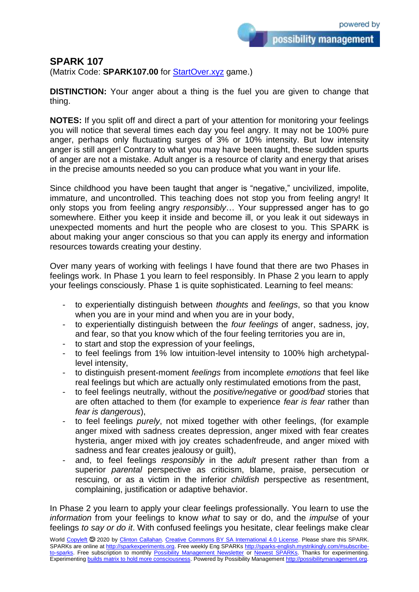possibility management

## **SPARK 107**

(Matrix Code: **SPARK107.00** for **StartOver.xyz** game.)

**DISTINCTION:** Your anger about a thing is the fuel you are given to change that thing.

**NOTES:** If you split off and direct a part of your attention for monitoring your feelings you will notice that several times each day you feel angry. It may not be 100% pure anger, perhaps only fluctuating surges of 3% or 10% intensity. But low intensity anger is still anger! Contrary to what you may have been taught, these sudden spurts of anger are not a mistake. Adult anger is a resource of clarity and energy that arises in the precise amounts needed so you can produce what you want in your life.

Since childhood you have been taught that anger is "negative," uncivilized, impolite, immature, and uncontrolled. This teaching does not stop you from feeling angry! It only stops you from feeling angry *responsibly*… Your suppressed anger has to go somewhere. Either you keep it inside and become ill, or you leak it out sideways in unexpected moments and hurt the people who are closest to you. This SPARK is about making your anger conscious so that you can apply its energy and information resources towards creating your destiny.

Over many years of working with feelings I have found that there are two Phases in feelings work. In Phase 1 you learn to feel responsibly. In Phase 2 you learn to apply your feelings consciously. Phase 1 is quite sophisticated. Learning to feel means:

- to experientially distinguish between *thoughts* and *feelings*, so that you know when you are in your mind and when you are in your body,
- to experientially distinguish between the *four feelings* of anger, sadness, joy, and fear, so that you know which of the four feeling territories you are in,
- to start and stop the expression of your feelings,
- to feel feelings from 1% low intuition-level intensity to 100% high archetypallevel intensity,
- to distinguish present-moment *feelings* from incomplete *emotions* that feel like real feelings but which are actually only restimulated emotions from the past,
- to feel feelings neutrally, without the *positive/negative* or *good/bad* stories that are often attached to them (for example to experience *fear is fear* rather than *fear is dangerous*),
- to feel feelings *purely*, not mixed together with other feelings, (for example anger mixed with sadness creates depression, anger mixed with fear creates hysteria, anger mixed with joy creates schadenfreude, and anger mixed with sadness and fear creates jealousy or guilt),
- and, to feel feelings *responsibly* in the *adult* present rather than from a superior *parental* perspective as criticism, blame, praise, persecution or rescuing, or as a victim in the inferior *childish* perspective as resentment, complaining, justification or adaptive behavior.

In Phase 2 you learn to apply your clear feelings professionally. You learn to use the *information* from your feelings to know *what* to say or do, and the *impulse* of your feelings *to say or do it*. With confused feelings you hesitate, clear feelings make clear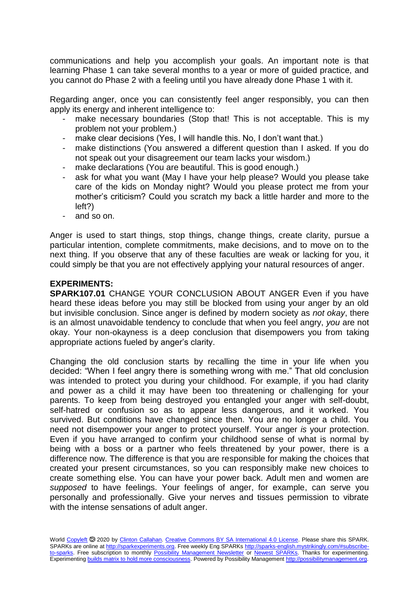communications and help you accomplish your goals. An important note is that learning Phase 1 can take several months to a year or more of guided practice, and you cannot do Phase 2 with a feeling until you have already done Phase 1 with it.

Regarding anger, once you can consistently feel anger responsibly, you can then apply its energy and inherent intelligence to:

- make necessary boundaries (Stop that! This is not acceptable. This is my problem not your problem.)
- make clear decisions (Yes, I will handle this. No, I don't want that.)
- make distinctions (You answered a different question than I asked. If you do not speak out your disagreement our team lacks your wisdom.)
- make declarations (You are beautiful. This is good enough.)
- ask for what you want (May I have your help please? Would you please take care of the kids on Monday night? Would you please protect me from your mother's criticism? Could you scratch my back a little harder and more to the left?)
- and so on.

Anger is used to start things, stop things, change things, create clarity, pursue a particular intention, complete commitments, make decisions, and to move on to the next thing. If you observe that any of these faculties are weak or lacking for you, it could simply be that you are not effectively applying your natural resources of anger.

## **EXPERIMENTS:**

**SPARK107.01** CHANGE YOUR CONCLUSION ABOUT ANGER Even if you have heard these ideas before you may still be blocked from using your anger by an old but invisible conclusion. Since anger is defined by modern society as *not okay*, there is an almost unavoidable tendency to conclude that when you feel angry, *you* are not okay. Your non-okayness is a deep conclusion that disempowers you from taking appropriate actions fueled by anger's clarity.

Changing the old conclusion starts by recalling the time in your life when you decided: "When I feel angry there is something wrong with me." That old conclusion was intended to protect you during your childhood. For example, if you had clarity and power as a child it may have been too threatening or challenging for your parents. To keep from being destroyed you entangled your anger with self-doubt, self-hatred or confusion so as to appear less dangerous, and it worked. You survived. But conditions have changed since then. You are no longer a child. You need not disempower your anger to protect yourself. Your anger *is* your protection. Even if you have arranged to confirm your childhood sense of what is normal by being with a boss or a partner who feels threatened by your power, there is a difference now. The difference is that you are responsible for making the choices that created your present circumstances, so you can responsibly make new choices to create something else. You can have your power back. Adult men and women are *supposed* to have feelings. Your feelings of anger, for example, can serve you personally and professionally. Give your nerves and tissues permission to vibrate with the intense sensations of adult anger.

World [Copyleft](https://en.wikipedia.org/wiki/Copyleft) <sup>5</sup> 2020 by [Clinton Callahan.](http://clintoncallahan.mystrikingly.com/) [Creative Commons BY SA International 4.0 License.](https://creativecommons.org/licenses/by-sa/4.0/) Please share this SPARK. SPARKs are online at [http://sparkexperiments.org.](http://sparks-english.mystrikingly.com/) Free weekly Eng SPARKs [http://sparks-english.mystrikingly.com/#subscribe](http://sparks-english.mystrikingly.com/#subscribe-to-sparks)[to-sparks.](http://sparks-english.mystrikingly.com/#subscribe-to-sparks) Free subscription to monthly [Possibility Management Newsletter](https://possibilitymanagement.org/news/) or [Newest SPARKs.](https://www.clintoncallahan.org/newsletter-1) Thanks for experimenting. Experimentin[g builds matrix to hold more consciousness.](http://spaceport.mystrikingly.com/) Powered by Possibility Managemen[t http://possibilitymanagement.org.](http://possibilitymanagement.org/)